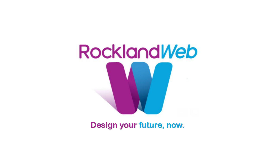

**Design your future, now.**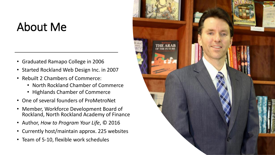# About Me

- Graduated Ramapo College in 2006
- Started Rockland Web Design Inc. in 2007
- Rebuilt 2 Chambers of Commerce:
	- North Rockland Chamber of Commerce
	- Highlands Chamber of Commerce
- One of several founders of ProMetroNet
- Member, Workforce Development Board of Rockland, North Rockland Academy of Finance
- Author, *How to Program Your Life*, © 2016
- Currently host/maintain approx. 225 websites
- Team of 5-10, flexible work schedules

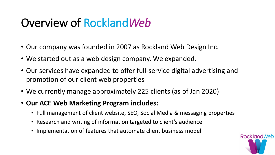# Overview of Rockland*Web*

- Our company was founded in 2007 as Rockland Web Design Inc.
- We started out as a web design company. We expanded.
- Our services have expanded to offer full-service digital advertising and promotion of our client web properties
- We currently manage approximately 225 clients (as of Jan 2020)
- **Our ACE Web Marketing Program includes:**
	- Full management of client website, SEO, Social Media & messaging properties
	- Research and writing of information targeted to client's audience
	- Implementation of features that automate client business model

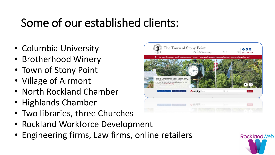# Some of our established clients:

- Columbia University
- Brotherhood Winery
- Town of Stony Point
- Village of Airmont
- North Rockland Chamber
- Highlands Chamber
- Two libraries, three Churches
- Rockland Workforce Development
- Engineering firms, Law firms, online retailers



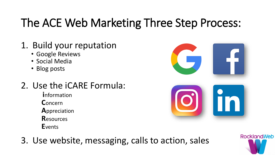# The ACE Web Marketing Three Step Process:

- 1. Build your reputation
	- · Google Reviews
	- Social Media
	- Blog posts
- 2. Use the iCARE Formula:
	- **i**nformation
	- **Concern**
	- Appreciation
	- **Resources**
	- Events



3. Use website, messaging, calls to action, sales

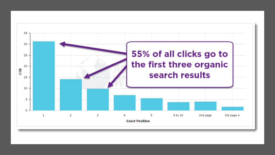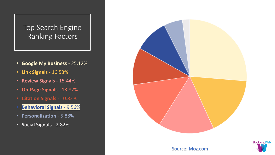## Top Search Engine Ranking Factors

- **Google My Business** 25.12%
- **Link Signals** 16.53%
- **Review Signals -** 15.44%
- **On-Page Signals** 13.82%
- **Citation Signals** 10.82%
- **Behavioral Signals** 9.56%
- **Personalization** 5.88%
- **Social Signals** 2.82%



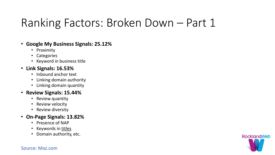## Ranking Factors: Broken Down – Part 1

#### • **Google My Business Signals: 25.12%**

- Proximity
- Categories
- Keyword in business title

#### • **Link Signals: 16.53%**

- Inbound anchor text
- Linking domain authority
- Linking domain quantity

#### • **Review Signals: 15.44%**

- Review quantity
- Review velocity
- Review diversity

#### • **On-Page Signals: 13.82%**

- Presence of NAP
- Keywords in titles
- Domain authority, etc.



#### Source: Moz.com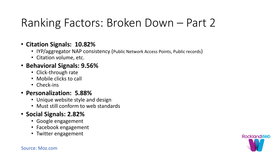## Ranking Factors: Broken Down – Part 2

#### • **Citation Signals: 10.82%**

- IYP/aggregator NAP consistency (Public Network Access Points, Public records)
- Citation volume, etc.

#### • **Behavioral Signals: 9.56%**

- Click-through rate
- Mobile clicks to call
- Check-ins

#### • **Personalization: 5.88%**

- Unique website style and design
- Must still conform to web standards

## • **Social Signals: 2.82%**

- Google engagement
- Facebook engagement
- Twitter engagement

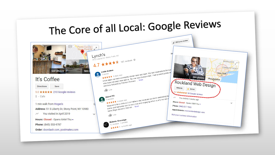# The Core of all Local: Google Reviews

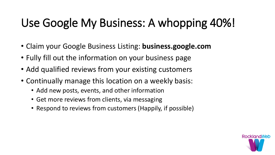# Use Google My Business: A whopping 40%!

- Claim your Google Business Listing: **business.google.com**
- Fully fill out the information on your business page
- Add qualified reviews from your existing customers
- Continually manage this location on a weekly basis:
	- Add new posts, events, and other information
	- Get more reviews from clients, via messaging
	- Respond to reviews from customers (Happily, if possible)

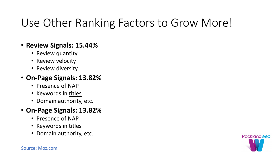## Use Other Ranking Factors to Grow More!

- **Review Signals: 15.44%**
	- Review quantity
	- Review velocity
	- Review diversity

## • **On-Page Signals: 13.82%**

- Presence of NAP
- Keywords in titles
- Domain authority, etc.

## • **On-Page Signals: 13.82%**

- Presence of NAP
- Keywords in titles
- Domain authority, etc.

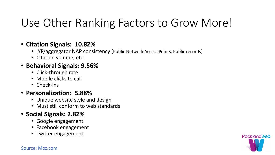## Use Other Ranking Factors to Grow More!

#### • **Citation Signals: 10.82%**

- IYP/aggregator NAP consistency (Public Network Access Points, Public records)
- Citation volume, etc.

#### • **Behavioral Signals: 9.56%**

- Click-through rate
- Mobile clicks to call
- Check-ins

#### • **Personalization: 5.88%**

- Unique website style and design
- Must still conform to web standards

## • **Social Signals: 2.82%**

- Google engagement
- Facebook engagement
- Twitter engagement